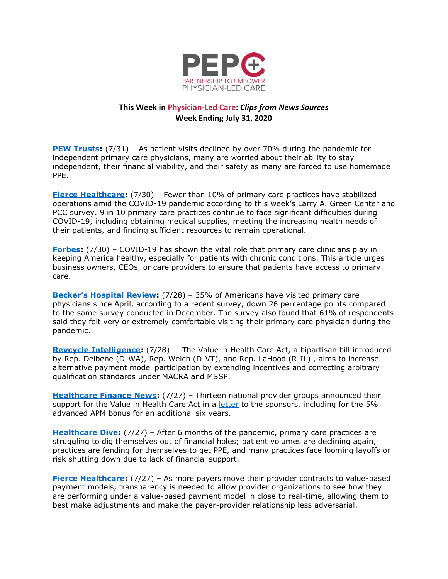

## **This Week in Physician-Led Care:** *Clips from News Sources* **Week Ending July 31, 2020**

**[PEW Trusts:](https://www.pewtrusts.org/en/research-and-analysis/blogs/stateline/2020/07/31/patients-fled-primary-care-during-covid-19)** (7/31) – As patient visits declined by over 70% during the pandemic for independent primary care physicians, many are worried about their ability to stay independent, their financial viability, and their safety as many are forced to use homemade PPE.

**[Fierce Healthcare:](https://www.fiercehealthcare.com/practices/fewer-than-10-primary-care-practices-have-stabilized-operations-amid-covid-19-pandemic)** (7/30) – Fewer than 10% of primary care practices have stabilized operations amid the COVID-19 pandemic according to this week's Larry A. Green Center and PCC survey. 9 in 10 primary care practices continue to face significant difficulties during COVID-19, including obtaining medical supplies, meeting the increasing health needs of their patients, and finding sufficient resources to remain operational.

**[Forbes:](https://www.forbes.com/sites/forbesbusinessdevelopmentcouncil/2020/07/30/how-employers-and-healthcare-providers-can-fill-primary-care-gaps/#6309ea0212f5)** (7/30) – COVID-19 has shown the vital role that primary care clinicians play in keeping America healthy, especially for patients with chronic conditions. This article urges business owners, CEOs, or care providers to ensure that patients have access to primary care.

**[Becker's Hospital Review](https://www.beckershospitalreview.com/hospital-physician-relationships/35-of-americans-have-visited-primary-care-physician-since-april-survey-finds.html):** (7/28) – 35% of Americans have visited primary care physicians since April, according to a recent survey, down 26 percentage points compared to the same survey conducted in December. The survey also found that 61% of respondents said they felt very or extremely comfortable visiting their primary care physician during the pandemic.

**[Revcycle Intelligence:](https://revcycleintelligence.com/news/lawmakers-propose-changes-to-macra-to-boost-aco-apm-participation)** (7/28) – The Value in Health Care Act, a bipartisan bill introduced by Rep. Delbene (D-WA), Rep. Welch (D-VT), and Rep. LaHood (R-IL) , aims to increase alternative payment model participation by extending incentives and correcting arbitrary qualification standards under MACRA and MSSP.

**[Healthcare Finance News:](https://www.healthcarefinancenews.com/news/providers-support-value-health-care-act-amends-macra-payment-models)** (7/27) – Thirteen national provider groups announced their support for the Value in Health Care Act in a [letter](https://www.naacos.com/assets/docs/pdf/2020/ValueinHealthCareActSignOnLetter07232020.pdf) to the sponsors, including for the 5% advanced APM bonus for an additional six years.

**[Healthcare Dive:](https://www.healthcaredive.com/news/6-months-primary-care-practices-covid/581170/)** (7/27) – After 6 months of the pandemic, primary care practices are struggling to dig themselves out of financial holes; patient volumes are declining again, practices are fending for themselves to get PPE, and many practices face looming layoffs or risk shutting down due to lack of financial support.

**[Fierce Healthcare:](https://www.fiercehealthcare.com/finance/industry-voices-performance-transparency-will-make-payer-provider-relationship-less)** (7/27) – As more payers move their provider contracts to value-based payment models, transparency is needed to allow provider organizations to see how they are performing under a value-based payment model in close to real-time, allowing them to best make adjustments and make the payer-provider relationship less adversarial.